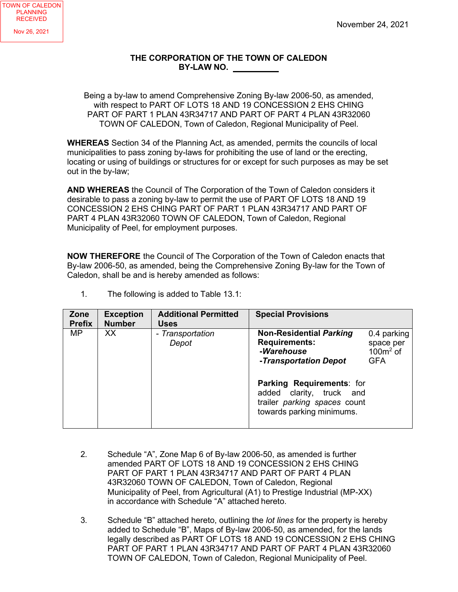## **THE CORPORATION OF THE TOWN OF CALEDON BY-LAW NO.**

Being a by-law to amend Comprehensive Zoning By-law 2006-50, as amended, with respect to PART OF LOTS 18 AND 19 CONCESSION 2 EHS CHING PART OF PART 1 PLAN 43R34717 AND PART OF PART 4 PLAN 43R32060 TOWN OF CALEDON, Town of Caledon, Regional Municipality of Peel.

**WHEREAS** Section 34 of the Planning Act, as amended, permits the councils of local municipalities to pass zoning by-laws for prohibiting the use of land or the erecting, locating or using of buildings or structures for or except for such purposes as may be set out in the by-law;

**AND WHEREAS** the Council of The Corporation of the Town of Caledon considers it desirable to pass a zoning by-law to permit the use of PART OF LOTS 18 AND 19 CONCESSION 2 EHS CHING PART OF PART 1 PLAN 43R34717 AND PART OF PART 4 PLAN 43R32060 TOWN OF CALEDON, Town of Caledon, Regional Municipality of Peel, for employment purposes.

**NOW THEREFORE** the Council of The Corporation of the Town of Caledon enacts that By-law 2006-50, as amended, being the Comprehensive Zoning By-law for the Town of Caledon, shall be and is hereby amended as follows:

| Zone<br><b>Prefix</b> | <b>Exception</b><br><b>Number</b> | <b>Additional Permitted</b><br><b>Uses</b> | <b>Special Provisions</b>                                                                                                                                                                                           |                                                      |
|-----------------------|-----------------------------------|--------------------------------------------|---------------------------------------------------------------------------------------------------------------------------------------------------------------------------------------------------------------------|------------------------------------------------------|
| <b>MP</b>             | <b>XX</b>                         | - Transportation<br>Depot                  | <b>Non-Residential Parking</b><br><b>Requirements:</b><br>-Warehouse<br>-Transportation Depot<br>Parking Requirements: for<br>added clarity, truck and<br>trailer parking spaces count<br>towards parking minimums. | 0.4 parking<br>space per<br>$100m2$ of<br><b>GFA</b> |

1. The following is added to Table 13.1:

- 2. Schedule "A", Zone Map 6 of By-law 2006-50, as amended is further amended PART OF LOTS 18 AND 19 CONCESSION 2 EHS CHING PART OF PART 1 PLAN 43R34717 AND PART OF PART 4 PLAN 43R32060 TOWN OF CALEDON, Town of Caledon, Regional Municipality of Peel, from Agricultural (A1) to Prestige Industrial (MP-XX) in accordance with Schedule "A" attached hereto.
- 3. Schedule "B" attached hereto, outlining the *lot lines* for the property is hereby added to Schedule "B", Maps of By-law 2006-50, as amended, for the lands legally described as PART OF LOTS 18 AND 19 CONCESSION 2 EHS CHING PART OF PART 1 PLAN 43R34717 AND PART OF PART 4 PLAN 43R32060 TOWN OF CALEDON, Town of Caledon, Regional Municipality of Peel.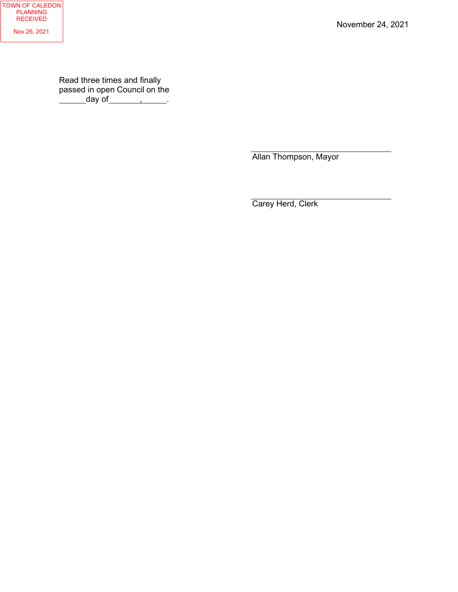November 24, 2021

Read three times and finally passed in open Council on the day of\_\_\_\_\_\_\_<u>,\_\_\_\_\_\_</u>.

Allan Thompson, Mayor

Carey Herd, Clerk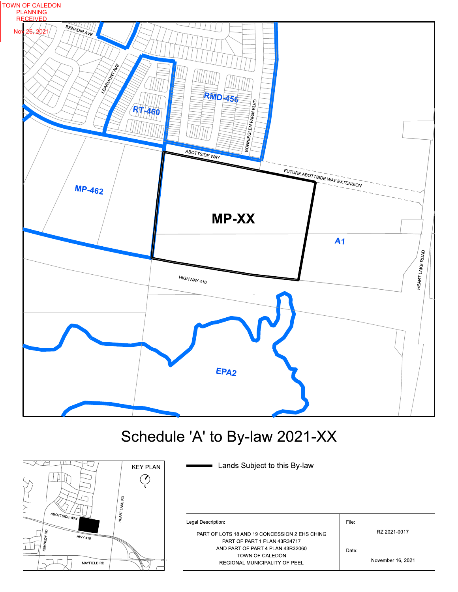

## Schedule 'A' to By-law 2021-XX

Lands Subject to this By-law



| Legal Description                                                             | File:             |
|-------------------------------------------------------------------------------|-------------------|
| PART OF LOTS 18 AND 19 CONCESSION 2 EHS CHING<br>PART OF PART 1 PLAN 43R34717 | RZ 2021-0017      |
| AND PART OF PART 4 PLAN 43R32060                                              | Date:             |
| TOWN OF CALEDON<br>REGIONAL MUNICIPALITY OF PEEL                              | November 16, 2021 |